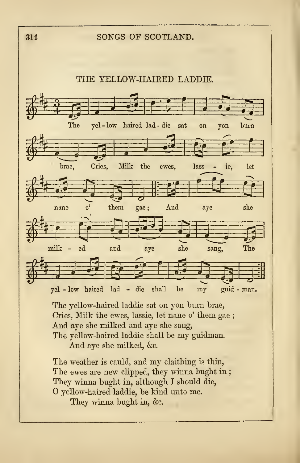## <sup>314</sup> SONGS OF SCOTLAND.



The yellow-haired laddie sat on yon hum brae, Cries, Milk the ewes, lassie, let nane o' them gae ; And aye she milked and aye she sang, The yellow-haired laddie shall be my guidman. And aye she milked, &c.

The weather is cauld, and my claithing is thin, The ewes are new clipped, they winna bught in; They winna bught in, although <sup>I</sup> should die, O yellow-haired laddie, be kind unto me. They winna bught in, &c.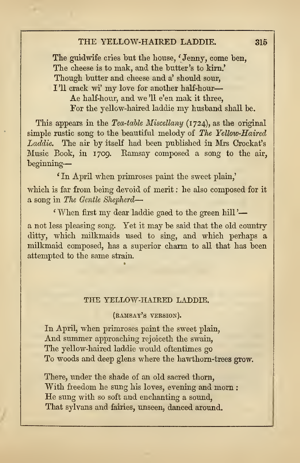## THE YELLOW-HAIRED LADDIE. 315

The guidwife cries but the house, 'Jenny, come ben, The cheese is to mak, and the butter's to kirn.' Though butter and cheese and a' should sour, I'll crack wi' my love for another half-hour-Ae half-hour, and we '11 e'en mak it three, For the yellow-haired laddie my husband shall be.

This appears in the Tea-table Miscellany (1724), as the original simple rustic song to the beautiful melody of The Yellow-Haired Laddie. The air by itself had been published in Mrs Crockat's Music Book, in 1709. Eamsay composed a song to the air, beginning

' In April when primroses paint the sweet plain,'

which is far from being devoid of merit : he also composed for it a song in The Gentle Shepherd—

' When first my dear laddie gaed to the green hill '

a not less pleasing song. Yet it may be said that the old country ditty, which milkmaids used to sing, and which perhaps a milkmaid composed, has a superior charm to all that has been attempted to the same strain.

## THE YELLOW-HAIRED LADDIE.

(ramsay's version).

In April, when primroses paint the sweet plain, And summer approaching rejoiceth the swain, The yellow-haired laddie would oftentimes go To woods and deep glens where the hawthorn-trees grow.

There, under the shade of an old sacred thorn, With freedom he sung his loves, evening and morn : He sung with so soft and enchanting <sup>a</sup> sound, That sylvans and fairies, unseen, danced around.